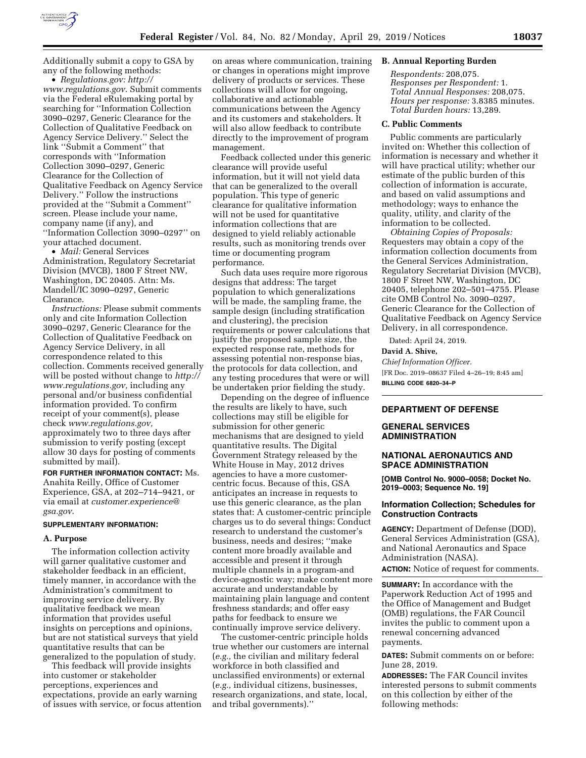

Additionally submit a copy to GSA by any of the following methods:

• *Regulations.gov: [http://](http://www.regulations.gov) [www.regulations.gov](http://www.regulations.gov)*. Submit comments via the Federal eRulemaking portal by searching for ''Information Collection 3090–0297, Generic Clearance for the Collection of Qualitative Feedback on Agency Service Delivery.'' Select the link ''Submit a Comment'' that corresponds with ''Information Collection 3090–0297, Generic Clearance for the Collection of Qualitative Feedback on Agency Service Delivery.'' Follow the instructions provided at the ''Submit a Comment'' screen. Please include your name, company name (if any), and ''Information Collection 3090–0297'' on your attached document.

• *Mail:* General Services Administration, Regulatory Secretariat Division (MVCB), 1800 F Street NW, Washington, DC 20405. Attn: Ms. Mandell/IC 3090–0297, Generic Clearance.

*Instructions:* Please submit comments only and cite Information Collection 3090–0297, Generic Clearance for the Collection of Qualitative Feedback on Agency Service Delivery, in all correspondence related to this collection. Comments received generally will be posted without change to *[http://](http://www.regulations.gov) [www.regulations.gov,](http://www.regulations.gov)* including any personal and/or business confidential information provided. To confirm receipt of your comment(s), please check *[www.regulations.gov,](http://www.regulations.gov)*  approximately two to three days after submission to verify posting (except allow 30 days for posting of comments submitted by mail).

**FOR FURTHER INFORMATION CONTACT:** Ms. Anahita Reilly, Office of Customer Experience, GSA, at 202–714–9421, or via email at *[customer.experience@](mailto:customer.experience@gsa.gov) [gsa.gov](mailto:customer.experience@gsa.gov)*.

#### **SUPPLEMENTARY INFORMATION:**

#### **A. Purpose**

The information collection activity will garner qualitative customer and stakeholder feedback in an efficient, timely manner, in accordance with the Administration's commitment to improving service delivery. By qualitative feedback we mean information that provides useful insights on perceptions and opinions, but are not statistical surveys that yield quantitative results that can be generalized to the population of study.

This feedback will provide insights into customer or stakeholder perceptions, experiences and expectations, provide an early warning of issues with service, or focus attention

on areas where communication, training or changes in operations might improve delivery of products or services. These collections will allow for ongoing, collaborative and actionable communications between the Agency and its customers and stakeholders. It will also allow feedback to contribute directly to the improvement of program management.

Feedback collected under this generic clearance will provide useful information, but it will not yield data that can be generalized to the overall population. This type of generic clearance for qualitative information will not be used for quantitative information collections that are designed to yield reliably actionable results, such as monitoring trends over time or documenting program performance.

Such data uses require more rigorous designs that address: The target population to which generalizations will be made, the sampling frame, the sample design (including stratification and clustering), the precision requirements or power calculations that justify the proposed sample size, the expected response rate, methods for assessing potential non-response bias, the protocols for data collection, and any testing procedures that were or will be undertaken prior fielding the study.

Depending on the degree of influence the results are likely to have, such collections may still be eligible for submission for other generic mechanisms that are designed to yield quantitative results. The Digital Government Strategy released by the White House in May, 2012 drives agencies to have a more customercentric focus. Because of this, GSA anticipates an increase in requests to use this generic clearance, as the plan states that: A customer-centric principle charges us to do several things: Conduct research to understand the customer's business, needs and desires; ''make content more broadly available and accessible and present it through multiple channels in a program-and device-agnostic way; make content more accurate and understandable by maintaining plain language and content freshness standards; and offer easy paths for feedback to ensure we continually improve service delivery.

The customer-centric principle holds true whether our customers are internal (*e.g.,* the civilian and military federal workforce in both classified and unclassified environments) or external (*e.g.,* individual citizens, businesses, research organizations, and state, local, and tribal governments).''

# **B. Annual Reporting Burden**

*Respondents:* 208,075. *Responses per Respondent:* 1. *Total Annual Responses:* 208,075. *Hours per response:* 3.8385 minutes. *Total Burden hours:* 13,289.

#### **C. Public Comments**

Public comments are particularly invited on: Whether this collection of information is necessary and whether it will have practical utility; whether our estimate of the public burden of this collection of information is accurate, and based on valid assumptions and methodology; ways to enhance the quality, utility, and clarity of the information to be collected.

*Obtaining Copies of Proposals:*  Requesters may obtain a copy of the information collection documents from the General Services Administration, Regulatory Secretariat Division (MVCB), 1800 F Street NW, Washington, DC 20405, telephone 202–501–4755. Please cite OMB Control No. 3090–0297, Generic Clearance for the Collection of Qualitative Feedback on Agency Service Delivery, in all correspondence.

Dated: April 24, 2019.

## **David A. Shive,**

*Chief Information Officer.*  [FR Doc. 2019–08637 Filed 4–26–19; 8:45 am] **BILLING CODE 6820–34–P** 

## **DEPARTMENT OF DEFENSE**

# **GENERAL SERVICES ADMINISTRATION**

### **NATIONAL AERONAUTICS AND SPACE ADMINISTRATION**

**[OMB Control No. 9000–0058; Docket No. 2019–0003; Sequence No. 19]** 

## **Information Collection; Schedules for Construction Contracts**

**AGENCY:** Department of Defense (DOD), General Services Administration (GSA), and National Aeronautics and Space Administration (NASA).

**ACTION:** Notice of request for comments.

**SUMMARY:** In accordance with the Paperwork Reduction Act of 1995 and the Office of Management and Budget (OMB) regulations, the FAR Council invites the public to comment upon a renewal concerning advanced payments.

**DATES:** Submit comments on or before: June 28, 2019.

**ADDRESSES:** The FAR Council invites interested persons to submit comments on this collection by either of the following methods: